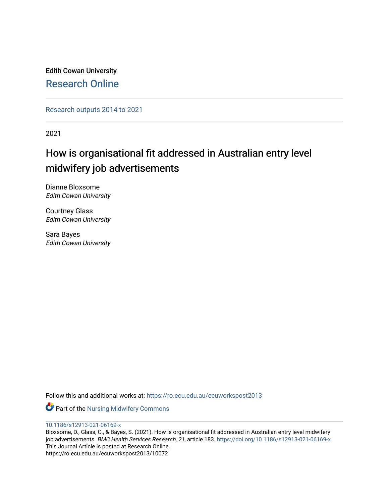Edith Cowan University [Research Online](https://ro.ecu.edu.au/) 

[Research outputs 2014 to 2021](https://ro.ecu.edu.au/ecuworkspost2013) 

2021

## How is organisational fit addressed in Australian entry level midwifery job advertisements

Dianne Bloxsome Edith Cowan University

Courtney Glass Edith Cowan University

Sara Bayes Edith Cowan University

Follow this and additional works at: [https://ro.ecu.edu.au/ecuworkspost2013](https://ro.ecu.edu.au/ecuworkspost2013?utm_source=ro.ecu.edu.au%2Fecuworkspost2013%2F10072&utm_medium=PDF&utm_campaign=PDFCoverPages) 

**Part of the Nursing Midwifery Commons** 

#### [10.1186/s12913-021-06169-x](http://dx.doi.org/10.1186/s12913-021-06169-x)

Bloxsome, D., Glass, C., & Bayes, S. (2021). How is organisational fit addressed in Australian entry level midwifery job advertisements. BMC Health Services Research, 21, article 183. https://doi.org/10.1186/s12913-021-06169-x This Journal Article is posted at Research Online. https://ro.ecu.edu.au/ecuworkspost2013/10072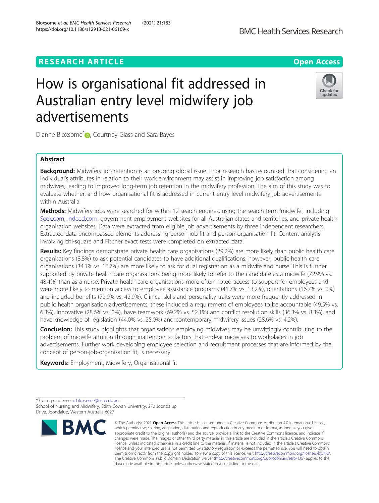## **RESEARCH ARTICLE Example 2014 12:30 The Contract of Contract ACCESS**

# How is organisational fit addressed in Australian entry level midwifery job advertisements

Dianne Bloxsome<sup>\*</sup> <sub>D</sub>[,](http://orcid.org/0000-0003-0419-1249) Courtney Glass and Sara Bayes

### Abstract

Background: Midwifery job retention is an ongoing global issue. Prior research has recognised that considering an individual's attributes in relation to their work environment may assist in improving job satisfaction among midwives, leading to improved long-term job retention in the midwifery profession. The aim of this study was to evaluate whether, and how organisational fit is addressed in current entry level midwifery job advertisements within Australia.

Methods: Midwifery jobs were searched for within 12 search engines, using the search term 'midwife', including [Seek.com](http://seek.com), [Indeed.com](http://indeed.com), government employment websites for all Australian states and territories, and private health organisation websites. Data were extracted from eligible job advertisements by three independent researchers. Extracted data encompassed elements addressing person-job fit and person-organisation fit. Content analysis involving chi-square and Fischer exact tests were completed on extracted data.

Results: Key findings demonstrate private health care organisations (29.2%) are more likely than public health care organisations (8.8%) to ask potential candidates to have additional qualifications, however, public health care organisations (34.1% vs. 16.7%) are more likely to ask for dual registration as a midwife and nurse. This is further supported by private health care organisations being more likely to refer to the candidate as a midwife (72.9% vs. 48.4%) than as a nurse. Private health care organisations more often noted access to support for employees and were more likely to mention access to employee assistance programs (41.7% vs. 13.2%), orientations (16.7% vs. 0%) and included benefits (72.9% vs. 42.9%). Clinical skills and personality traits were more frequently addressed in public health organisation advertisements; these included a requirement of employees to be accountable (49.5% vs. 6.3%), innovative (28.6% vs. 0%), have teamwork (69.2% vs. 52.1%) and conflict resolution skills (36.3% vs. 8.3%), and have knowledge of legislation (44.0% vs. 25.0%) and contemporary midwifery issues (28.6% vs. 4.2%).

**Conclusion:** This study highlights that organisations employing midwives may be unwittingly contributing to the problem of midwife attrition through inattention to factors that endear midwives to workplaces in job advertisements. Further work developing employee selection and recruitment processes that are informed by the concept of person-job-organisation fit, is necessary.

Keywords: Employment, Midwifery, Organisational fit





<sup>\*</sup> Correspondence: [d.bloxsome@ecu.edu.au](mailto:d.bloxsome@ecu.edu.au) School of Nursing and Midwifery, Edith Cowan University, 270 Joondalup Drive, Joondalup, Western Australia 6027

<sup>©</sup> The Author(s), 2021 **Open Access** This article is licensed under a Creative Commons Attribution 4.0 International License, which permits use, sharing, adaptation, distribution and reproduction in any medium or format, as long as you give appropriate credit to the original author(s) and the source, provide a link to the Creative Commons licence, and indicate if changes were made. The images or other third party material in this article are included in the article's Creative Commons licence, unless indicated otherwise in a credit line to the material. If material is not included in the article's Creative Commons licence and your intended use is not permitted by statutory regulation or exceeds the permitted use, you will need to obtain permission directly from the copyright holder. To view a copy of this licence, visit [http://creativecommons.org/licenses/by/4.0/.](http://creativecommons.org/licenses/by/4.0/) The Creative Commons Public Domain Dedication waiver [\(http://creativecommons.org/publicdomain/zero/1.0/](http://creativecommons.org/publicdomain/zero/1.0/)) applies to the data made available in this article, unless otherwise stated in a credit line to the data.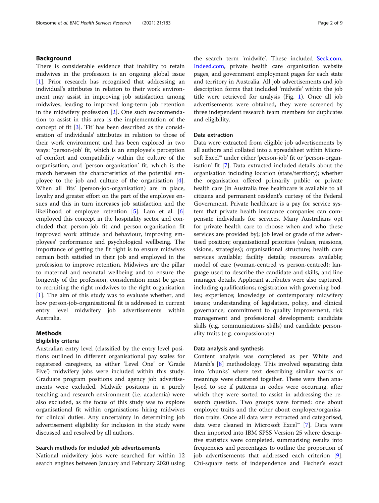#### Background

There is considerable evidence that inability to retain midwives in the profession is an ongoing global issue [[1\]](#page-9-0). Prior research has recognised that addressing an individual's attributes in relation to their work environment may assist in improving job satisfaction among midwives, leading to improved long-term job retention in the midwifery profession [[2\]](#page-9-0). One such recommendation to assist in this area is the implementation of the concept of fit [[3\]](#page-9-0). 'Fit' has been described as the consideration of individuals' attributes in relation to those of their work environment and has been explored in two ways: 'person-job' fit, which is an employee's perception of comfort and compatibility within the culture of the organisation, and 'person-organisation' fit, which is the match between the characteristics of the potential employee to the job and culture of the organisation [\[4](#page-9-0)]. When all 'fits' (person-job-organisation) are in place, loyalty and greater effort on the part of the employee ensues and this in turn increases job satisfaction and the likelihood of employee retention [\[5](#page-9-0)]. Lam et al. [\[6](#page-9-0)] employed this concept in the hospitality sector and concluded that person-job fit and person-organisation fit improved work attitude and behaviour, improving employees' performance and psychological wellbeing. The importance of getting the fit right is to ensure midwives remain both satisfied in their job and employed in the profession to improve retention. Midwives are the pillar to maternal and neonatal wellbeing and to ensure the longevity of the profession, consideration must be given to recruiting the right midwives to the right organisation [[1\]](#page-9-0). The aim of this study was to evaluate whether, and how person-job-organisational fit is addressed in current entry level midwifery job advertisements within Australia.

#### Methods

#### Eligibility criteria

Australian entry level (classified by the entry level positions outlined in different organisational pay scales for registered caregivers, as either 'Level One' or 'Grade Five') midwifery jobs were included within this study. Graduate program positions and agency job advertisements were excluded. Midwife positions in a purely teaching and research environment (i.e. academia) were also excluded, as the focus of this study was to explore organisational fit within organisations hiring midwives for clinical duties. Any uncertainty in determining job advertisement eligibility for inclusion in the study were discussed and resolved by all authors.

#### Search methods for included job advertisements

National midwifery jobs were searched for within 12 search engines between January and February 2020 using the search term 'midwife'. These included [Seek.com](http://seek.com), [Indeed.com](http://indeed.com), private health care organisation website pages, and government employment pages for each state and territory in Australia. All job advertisements and job description forms that included 'midwife' within the job title were retrieved for analysis (Fig. [1](#page-3-0)). Once all job advertisements were obtained, they were screened by three independent research team members for duplicates and eligibility.

#### Data extraction

Data were extracted from eligible job advertisements by all authors and collated into a spreadsheet within Microsoft Excel™ under either 'person-job' fit or 'person-organisation' fit [[7\]](#page-9-0). Data extracted included details about the organisation including location (state/territory); whether the organisation offered primarily public or private health care (in Australia free healthcare is available to all citizens and permanent resident's curtesy of the Federal Government. Private healthcare is a pay for service system that private health insurance companies can compensate individuals for services. Many Australians opt for private health care to choose when and who these services are provided by); job level or grade of the advertised position; organisational priorities (values, missions, visions, strategies); organisational structure; health care services available; facility details; resources available; model of care (woman-centred vs person-centred); language used to describe the candidate and skills, and line manager details. Applicant attributes were also captured, including qualifications; registration with governing bodies; experience; knowledge of contemporary midwifery issues; understanding of legislation, policy, and clinical governance; commitment to quality improvement, risk management and professional development; candidate skills (e.g. communications skills) and candidate personality traits (e.g. compassionate).

#### Data analysis and synthesis

Content analysis was completed as per White and Marsh's [[8\]](#page-9-0) methodology. This involved separating data into 'chunks' where text describing similar words or meanings were clustered together. These were then analysed to see if patterns in codes were occurring, after which they were sorted to assist in addressing the research question. Two groups were formed: one about employee traits and the other about employer/organisation traits. Once all data were extracted and categorised, data were cleaned in Microsoft Excel™ [[7\]](#page-9-0). Data were then imported into IBM SPSS Version 25 where descriptive statistics were completed, summarising results into frequencies and percentages to outline the proportion of job advertisements that addressed each criterion [\[9](#page-9-0)]. Chi-square tests of independence and Fischer's exact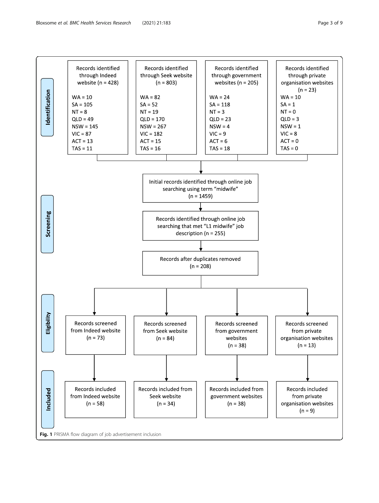<span id="page-3-0"></span>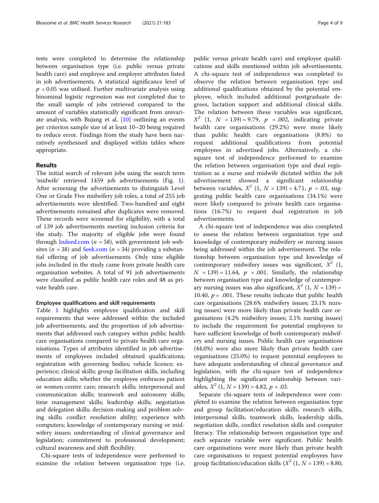tests were completed to determine the relationship between organisation type (i.e. public versus private health care) and employee and employer attributes listed in job advertisements. A statistical significance level of  $p < 0.05$  was utilised. Further multivariate analysis using binominal logistic regression was not completed due to the small sample of jobs retrieved compared to the amount of variables statistically significant from univariate analysis, with Bujang et al. [[10\]](#page-9-0) outlining an events per criterion sample size of at least 10–20 being required to reduce error. Findings from the study have been narratively synthesised and displayed within tables where appropriate.

#### Results

The initial search of relevant jobs using the search term 'midwife' retrieved 1459 job advertisements (Fig. [1](#page-3-0)). After screening the advertisements to distinguish Level One or Grade Five midwifery job roles, a total of 255 job advertisements were identified. Two-hundred and eight advertisements remained after duplicates were removed. These records were screened for eligibility, with a total of 139 job advertisements meeting inclusion criteria for the study. The majority of eligible jobs were found through [Indeed.com](http://indeed.com) ( $n = 58$ ), with government job websites ( $n = 38$ ) and [Seek.com](http://seek.com) ( $n = 34$ ) providing a substantial offering of job advertisements. Only nine eligible jobs included in the study came from private health care organisation websites. A total of 91 job advertisements were classified as public health care roles and 48 as private health care.

#### Employee qualifications and skill requirements

Table [1](#page-5-0) highlights employee qualification and skill requirements that were addressed within the included job advertisements, and the proportion of job advertisements that addressed each category within public health care organisations compared to private health care organisations. Types of attributes identified in job advertisements of employees included obtained qualifications; registration with governing bodies; vehicle licence; experience; clinical skills; group facilitation skills, including education skills; whether the employee embraces patient or women-centre care; research skills; interpersonal and communication skills; teamwork and autonomy skills; time management skills; leadership skills; negotiation and delegation skills; decision-making and problem solving skills; conflict resolution ability; experience with computers; knowledge of contemporary nursing or midwifery issues; understanding of clinical governance and legislation; commitment to professional development; cultural awareness and shift flexibility.

Chi-square tests of independence were performed to examine the relation between organisation type (i.e. public versus private health care) and employee qualifications and skills mentioned within job advertisements. A chi-square test of independence was completed to observe the relation between organisation type and additional qualifications obtained by the potential employee, which included additional postgraduate degrees, lactation support and additional clinical skills. The relation between these variables was significant,  $X^2$  (1, N = 139) = 9.79, p = .002, indicating private health care organisations (29.2%) were more likely than public health care organisations (8.8%) to request additional qualifications from potential employees in advertised jobs. Alternatively, a chisquare test of independence performed to examine the relation between organisation type and dual registration as a nurse and midwife dictated within the job advertisement showed a significant relationship between variables,  $X^2$  (1,  $N = 139$ ) = 4.71,  $p = .03$ , suggesting public health care organisations (34.1%) were more likely compared to private health care organisations (16.7%) to request dual registration in job advertisements.

A chi-square test of independence was also completed to assess the relation between organisation type and knowledge of contemporary midwifery or nursing issues being addressed within the job advertisement. The relationship between organisation type and knowledge of contemporary midwifery issues was significant,  $X^2$  (1,  $N = 139$  = 11.64,  $p = .001$ . Similarly, the relationship between organisation type and knowledge of contemporary nursing issues was also significant,  $X^2$  (1,  $N = 139$ ) = 10.40,  $p = .001$ . These results indicate that public health care organisations (28.6% midwifery issues; 23.1% nursing issues) were more likely than private health care organisations (4.2% midwifery issues; 2.1% nursing issues) to include the requirement for potential employees to have sufficient knowledge of both contemporary midwifery and nursing issues. Public health care organisations (44.0%) were also more likely than private health care organisations (25.0%) to request potential employees to have adequate understanding of clinical governance and legislation, with the chi-square test of independence highlighting the significant relationship between variables,  $X^2$  (1,  $N = 139$ ) = 4.82,  $p = .03$ .

Separate chi-square tests of independence were completed to examine the relation between organisation type and group facilitation/education skills, research skills, interpersonal skills, teamwork skills, leadership skills, negotiation skills, conflict resolution skills and computer literacy. The relationship between organisation type and each separate variable were significant. Public health care organisations were more likely than private health care organisations to request potential employees have group facilitation/education skills  $(X^2 (1, N = 139) = 8.80,$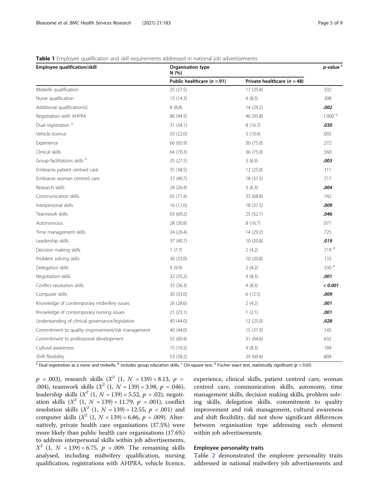#### <span id="page-5-0"></span>Table 1 Employee qualification and skill requirements addressed in national job advertisements

| -7.7<br>Employee qualification/skill              | <b>Organisation type</b><br>N(%) |                                 |                    |
|---------------------------------------------------|----------------------------------|---------------------------------|--------------------|
|                                                   | Public healthcare ( $n = 91$ )   | Private healthcare ( $n = 48$ ) |                    |
| Midwife qualification                             | 25(27.5)                         | 17 (35.4)                       | .332               |
| Nurse qualification                               | 13 (14.3)                        | 4(8.3)                          | .308               |
| Additional qualification(s)                       | 8(8.8)                           | 14 (29.2)                       | .002               |
| Registration with AHPRA                           | 86 (94.5)                        | 46 (95.8)                       | 1.000 <sup>d</sup> |
| Dual registration <sup>a</sup>                    | 31(34.1)                         | 8(16.7)                         | .030               |
| Vehicle licence                                   | 20 (22.0)                        | 5(10.4)                         | .092               |
| Experience                                        | 60 (65.9)                        | 36 (75.0)                       | .272               |
| Clinical skills                                   | 64 (70.3)                        | 36 (75.0)                       | .560               |
| Group facilitations skills b                      | 25(27.5)                         | 3(6.3)                          | .003               |
| Embraces patient centred care                     | 35 (38.5)                        | 12(25.0)                        | .111               |
| Embraces woman centred care                       | 37 (40.7)                        | 18 (37.5)                       | .717               |
| Research skills                                   | 24 (26.4)                        | 3(6.3)                          | .004               |
| Communication skills                              | 65 (71.4)                        | 33 (68.8)                       | .742               |
| Interpersonal skills                              | 16 (17.6)                        | 18 (37.5)                       | .009               |
| Teamwork skills                                   | 63 (69.2)                        | 25(52.1)                        | .046               |
| Autonomous                                        | 28 (30.8)                        | 8(16.7)                         | .071               |
| Time management skills                            | 24 (26.4)                        | 14 (29.2)                       | .725               |
| Leadership skills                                 | 37 (40.7)                        | 10(20.8)                        | .019               |
| Decision making skills                            | 7(7.7)                           | 2(4.2)                          | .719 <sup>d</sup>  |
| Problem solving skills                            | 30 (33.0)                        | 10(20.8)                        | .133               |
| Delegation skills                                 | 9(9.9)                           | 2(4.2)                          | .330 $d$           |
| Negotiation skills                                | 32 (35.2)                        | 4(8.3)                          | .001               |
| Conflict resolution skills                        | 33 (36.3)                        | 4(8.3)                          | < 0.001            |
| Computer skills                                   | 30 (33.0)                        | 6(12.5)                         | .009               |
| Knowledge of contemporary midwifery issues        | 26 (28.6)                        | 2(4.2)                          | .001               |
| Knowledge of contemporary nursing issues          | 21(23.1)                         | 1(2.1)                          | .001               |
| Understanding of clinical governance/legislation  | 40 (44.0)                        | 12(25.0)                        | .028               |
| Commitment to quality improvement/risk management | 40 (44.0)                        | 15(31.3)                        | .145               |
| Commitment to professional development            | 55 (60.4)                        | 31 (64.6)                       | .632               |
| Cultural awareness                                | 15 (16.5)                        | 4(8.3)                          | .184               |
| Shift flexibility                                 | 53 (58.2)                        | 29 (60.4)                       | .804               |

<sup>a</sup> Dual registration as a nurse and midwife, <sup>b</sup> includes group education skills, <sup>c</sup> Chi-square test, <sup>d</sup> Fischer exact test, statistically significant (p < 0.05)

 $p = .003$ ), research skills ( $X^2$  (1,  $N = 139$ ) = 8.13,  $p =$ .004), teamwork skills  $(X^2 (1, N = 139) = 3.98, p = .046)$ , leadership skills  $(X^2 (1, N = 139) = 5.52, p = .02)$ , negotiation skills  $(X^2$  (1,  $N = 139) = 11.79$ ,  $p = .001$ ), conflict resolution skills  $(X^2 (1, N = 139) = 12.55, p < .001)$  and computer skills  $(X^2 (1, N = 139) = 6.86, p = .009)$ . Alternatively, private health care organisations (37.5%) were more likely than public health care organisations (17.6%) to address interpersonal skills within job advertisements,  $X^2$  (1, N = 139) = 6.75, p = .009. The remaining skills analysed, including midwifery qualification, nursing qualification, registrations with AHPRA, vehicle licence,

experience, clinical skills, patient centred care, woman centred care, communication skills, autonomy, time management skills, decision making skills, problem solving skills, delegation skills, commitment to quality improvement and risk management, cultural awareness and shift flexibility, did not show significant differences between organisation type addressing each element within job advertisements.

#### Employee personality traits

Table [2](#page-6-0) demonstrated the employee personality traits addressed in national midwifery job advertisements and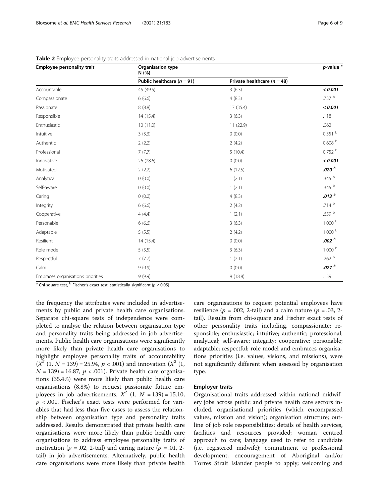| Employee personality trait        | Organisation type<br>N(% )     | $p$ -value <sup>a</sup>         |                         |
|-----------------------------------|--------------------------------|---------------------------------|-------------------------|
|                                   | Public healthcare ( $n = 91$ ) | Private healthcare ( $n = 48$ ) |                         |
| Accountable                       | 45 (49.5)                      | 3(6.3)                          | < 0.001                 |
| Compassionate                     | 6(6.6)                         | 4(8.3)                          | .737 b                  |
| Passionate                        | 8(8.8)                         | 17 (35.4)                       | < 0.001                 |
| Responsible                       | 14 (15.4)                      | 3(6.3)                          | .118                    |
| Enthusiastic                      | 10 (11.0)                      | 11(22.9)                        | .062                    |
| Intuitive                         | 3(3.3)                         | 0(0.0)                          | $0.551$ b               |
| Authentic                         | 2(2.2)                         | 2(4.2)                          | $0.608$ $^{\mathrm{b}}$ |
| Professional                      | 7(7.7)                         | 5(10.4)                         | 0.752 <sup>b</sup>      |
| Innovative                        | 26 (28.6)                      | 0(0.0)                          | < 0.001                 |
| Motivated                         | 2(2.2)                         | 6(12.5)                         | .020 $b$                |
| Analytical                        | 0(0.0)                         | 1(2.1)                          | .345 b                  |
| Self-aware                        | 0(0.0)                         | 1(2.1)                          | .345 b                  |
| Caring                            | 0(0.0)                         | 4(8.3)                          | .013 <sup>b</sup>       |
| Integrity                         | 6(6.6)                         | 2(4.2)                          | .714 <sup>b</sup>       |
| Cooperative                       | 4(4.4)                         | 1(2.1)                          | .659 $^{\rm b}$         |
| Personable                        | 6(6.6)                         | 3(6.3)                          | 1.000 <sup>b</sup>      |
| Adaptable                         | 5(5.5)                         | 2(4.2)                          | 1.000 <sup>b</sup>      |
| Resilient                         | 14 (15.4)                      | 0(0.0)                          | .002 <sup>b</sup>       |
| Role model                        | 5(5.5)                         | 3(6.3)                          | 1.000 <sup>b</sup>      |
| Respectful                        | 7(7.7)                         | 1(2.1)                          | .262 $b$                |
| Calm                              | 9(9.9)                         | 0(0.0)                          | .027 <sup>b</sup>       |
| Embraces organisations priorities | 9(9.9)                         | 9(18.8)                         | .139                    |

<span id="page-6-0"></span>Table 2 Employee personality traits addressed in national job advertisements

<sup>a</sup> Chi-square test,  $\overline{b}$  Fischer's exact test, statistically significant ( $p < 0.05$ )

the frequency the attributes were included in advertisements by public and private health care organisations. Separate chi-square tests of independence were completed to analyse the relation between organisation type and personality traits being addressed in job advertisements. Public health care organisations were significantly more likely than private health care organisations to highlight employee personality traits of accountability  $(X^2 (1, N = 139) = 25.94, p < .001)$  and innovation  $(X^2 (1,$  $N = 139$  = 16.87,  $p < .001$ ). Private health care organisations (35.4%) were more likely than public health care organisations (8.8%) to request passionate future employees in job advertisements,  $X^2$  (1,  $N = 139$ ) = 15.10,  $p < .001$ . Fischer's exact tests were performed for variables that had less than five cases to assess the relationship between organisation type and personality traits addressed. Results demonstrated that private health care organisations were more likely than public health care organisations to address employee personality traits of motivation ( $p = .02$ , 2-tail) and caring nature ( $p = .01$ , 2tail) in job advertisements. Alternatively, public health care organisations were more likely than private health care organisations to request potential employees have resilience ( $p = .002$ , 2-tail) and a calm nature ( $p = .03$ , 2tail). Results from chi-square and Fischer exact tests of other personality traits including, compassionate; responsible; enthusiastic; intuitive; authentic; professional; analytical; self-aware; integrity; cooperative; personable; adaptable; respectful; role model and embraces organisations priorities (i.e. values, visions, and missions), were not significantly different when assessed by organisation type.

#### Employer traits

Organisational traits addressed within national midwifery jobs across public and private health care sectors included, organisational priorities (which encompassed values, mission and vision); organisation structure; outline of job role responsibilities; details of health services, facilities and resources provided; woman centred approach to care; language used to refer to candidate (i.e. registered midwife); commitment to professional development; encouragement of Aboriginal and/or Torres Strait Islander people to apply; welcoming and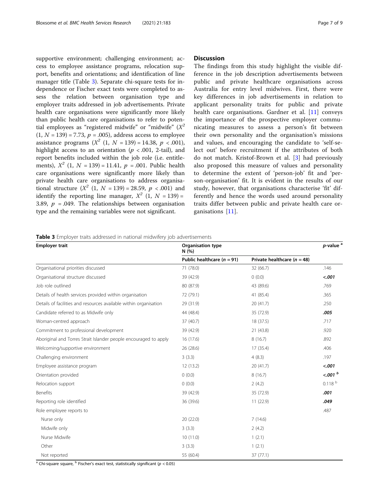supportive environment; challenging environment; access to employee assistance programs, relocation support, benefits and orientations; and identification of line manager title (Table 3). Separate chi-square tests for independence or Fischer exact tests were completed to assess the relation between organisation type and employer traits addressed in job advertisements. Private health care organisations were significantly more likely than public health care organisations to refer to potential employees as "registered midwife" or "midwife"  $(X^2)$  $(1, N = 139) = 7.73, p = .005$ , address access to employee assistance programs  $(X^2 (1, N = 139) = 14.38, p < .001)$ , highlight access to an orientation ( $p < .001$ , 2-tail), and report benefits included within the job role (i.e. entitlements),  $X^2$  (1,  $N = 139$ ) = 11.41,  $p = .001$ . Public health care organisations were significantly more likely than private health care organisations to address organisational structure  $(X^2 (1, N = 139) = 28.59, p < .001)$  and identify the reporting line manager,  $X^2$  (1,  $N = 139$ ) = 3.89,  $p = .049$ . The relationships between organisation type and the remaining variables were not significant.

#### **Discussion**

The findings from this study highlight the visible difference in the job description advertisements between public and private healthcare organisations across Australia for entry level midwives. First, there were key differences in job advertisements in relation to applicant personality traits for public and private health care organisations. Gardner et al. [[11](#page-9-0)] conveys the importance of the prospective employer communicating measures to assess a person's fit between their own personality and the organisation's missions and values, and encouraging the candidate to 'self-select out' before recruitment if the attributes of both do not match. Kristof-Brown et al. [[3\]](#page-9-0) had previously also proposed this measure of values and personality to determine the extent of 'person-job' fit and 'person-organisation' fit. It is evident in the results of our study, however, that organisations characterise 'fit' differently and hence the words used around personality traits differ between public and private health care organisations [\[11](#page-9-0)].

|  |  |  |  |  | Table 3 Employer traits addressed in national midwifery job advertisements |
|--|--|--|--|--|----------------------------------------------------------------------------|
|--|--|--|--|--|----------------------------------------------------------------------------|

| $\overline{\phantom{a}}$<br><b>Employer trait</b>                 | Organisation type<br>N (%)     |                                 |                    |
|-------------------------------------------------------------------|--------------------------------|---------------------------------|--------------------|
|                                                                   | Public healthcare ( $n = 91$ ) | Private healthcare ( $n = 48$ ) |                    |
| Organisational priorities discussed                               | 71 (78.0)                      | 32 (66.7)                       | .146               |
| Organisational structure discussed                                | 39 (42.9)                      | 0(0.0)                          | < .001             |
| Job role outlined                                                 | 80 (87.9)                      | 43 (89.6)                       | .769               |
| Details of health services provided within organisation           | 72 (79.1)                      | 41 (85.4)                       | .365               |
| Details of facilities and resources available within organisation | 29 (31.9)                      | 20(41.7)                        | .250               |
| Candidate referred to as Midwife only                             | 44 (48.4)                      | 35 (72.9)                       | .005               |
| Woman-centred approach                                            | 37 (40.7)                      | 18 (37.5)                       | .717               |
| Commitment to professional development                            | 39 (42.9)                      | 21 (43.8)                       | .920               |
| Aboriginal and Torres Strait Islander people encouraged to apply  | 16 (17.6)                      | 8(16.7)                         | .892               |
| Welcoming/supportive environment                                  | 26 (28.6)                      | 17 (35.4)                       | .406               |
| Challenging environment                                           | 3(3.3)                         | 4(8.3)                          | .197               |
| Employee assistance program                                       | 12 (13.2)                      | 20(41.7)                        | $-.001$            |
| Orientation provided                                              | 0(0.0)                         | 8(16.7)                         | < .001 b           |
| Relocation support                                                | 0(0.0)                         | 2(4.2)                          | 0.118 <sup>b</sup> |
| Benefits                                                          | 39 (42.9)                      | 35 (72.9)                       | .001               |
| Reporting role identified                                         | 36 (39.6)                      | 11(22.9)                        | .049               |
| Role employee reports to                                          |                                |                                 | .487               |
| Nurse only                                                        | 20 (22.0)                      | 7(14.6)                         |                    |
| Midwife only                                                      | 3(3.3)                         | 2(4.2)                          |                    |
| Nurse Midwife                                                     | 10(11.0)                       | 1(2.1)                          |                    |
| Other                                                             | 3(3.3)                         | 1(2.1)                          |                    |
| Not reported                                                      | 55 (60.4)                      | 37(77.1)                        |                    |

<sup>a</sup> Chi-square square, <sup>b</sup> Fischer's exact test, statistically significant ( $p < 0.05$ )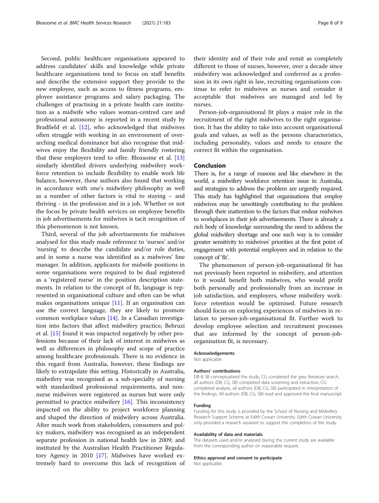Second, public healthcare organisations appeared to address candidates' skills and knowledge while private healthcare organisations tend to focus on staff benefits and describe the extensive support they provide to the new employee, such as access to fitness programs, employee assistance programs and salary packaging. The challenges of practising in a private health care institution as a midwife who values woman-centred care and professional autonomy is reported in a recent study by Bradfield et al. [[12](#page-9-0)], who acknowledged that midwives often struggle with working in an environment of overarching medical dominance but also recognise that midwives enjoy the flexibility and family friendly rostering that these employers tend to offer. Bloxsome et al. [[13](#page-9-0)] similarly identified drivers underlying midwifery workforce retention to include flexibility to enable work life balance, however, these authors also found that working in accordance with one's midwifery philosophy as well as a number of other factors is vital to staying – and thriving - in the profession and in a job. Whether or not the focus by private health services on employee benefits in job advertisements for midwives is tacit recognition of this phenomenon is not known.

Third, several of the job advertisements for midwives analysed for this study made reference to 'nurses' and/or 'nursing' to describe the candidate and/or role duties, and in some a nurse was identified as a midwives' line manager. In addition, applicants for midwife positions in some organisations were required to be dual registered as a 'registered nurse' in the position description statements. In relation to the concept of fit, language is represented in organisational culture and often can be what makes organisations unique  $[11]$  $[11]$ . If an organisation can use the correct language, they are likely to promote common workplace values [\[14\]](#page-9-0). In a Canadian investigation into factors that affect midwifery practice, Behruzi et al. [\[15](#page-9-0)] found it was impacted negatively by other professions because of their lack of interest in midwives as well as differences in philosophy and scope of practice among healthcare professionals. There is no evidence in this regard from Australia, however, these findings are likely to extrapolate this setting. Historically in Australia, midwifery was recognised as a sub-specialty of nursing with standardised professional requirements, and nonnurse midwives were registered as nurses but were only permitted to practice midwifery [\[16](#page-9-0)]. This inconsistency impacted on the ability to project workforce planning and shaped the direction of midwifery across Australia. After much work from stakeholders, consumers and policy makers, midwifery was recognised as an independent separate profession in national health law in 2009; and instituted by the Australian Health Practitioner Regulatory Agency in 2010 [\[17](#page-9-0)]. Midwives have worked extremely hard to overcome this lack of recognition of

their identity and of their role and remit as completely different to those of nurses, however, over a decade since midwifery was acknowledged and conferred as a profession in its own right in law, recruiting organisations continue to refer to midwives as nurses and consider it acceptable that midwives are managed and led by nurses.

Person-job-organisational fit plays a major role in the recruitment of the right midwives to the right organisation. It has the ability to take into account organisational goals and values, as well as the persons characteristics, including personality, values and needs to ensure the correct fit within the organisation.

#### Conclusion

There is, for a range of reasons and like elsewhere in the world, a midwifery workforce retention issue in Australia, and strategies to address the problem are urgently required. This study has highlighted that organisations that employ midwives may be unwittingly contributing to the problem through their inattention to the factors that endear midwives to workplaces in their job advertisements. There is already a rich body of knowledge surrounding the need to address the global midwifery shortage and one such way is to consider greater sensitivity to midwives' priorities at the first point of engagement with potential employees and in relation to the concept of 'fit'.

The phenomenon of person-job-organisational fit has not previously been reported in midwifery, and attention to it would benefit both midwives, who would profit both personally and professionally from an increase in job satisfaction, and employers, whose midwifery workforce retention would be optimised. Future research should focus on exploring experiences of midwives in relation to person-job-organisational fit. Further work to develop employee selection and recruitment processes that are informed by the concept of person-joborganisation fit, is necessary.

#### Acknowledgements

Not applicable.

#### Authors' contributions

DB & SB conceptualised the study, CG completed the grey literature search, all authors (DB, CG, SB) completed data screening and extraction, CG completed analysis, all authors (DB, CG, SB) participated in interpretation of the findings. All authors (DB, CG, SB) read and approved the final manuscript.

#### Funding

Funding for this study is provided by the School of Nursing and Midwifery Research Support Scheme at Edith Cowan University. Edith Cowan University only provided a research assistant to support the completion of the study.

#### Availability of data and materials

The datasets used and/or analysed during the current study are available from the corresponding author on reasonable request.

#### Ethics approval and consent to participate

Not applicable.